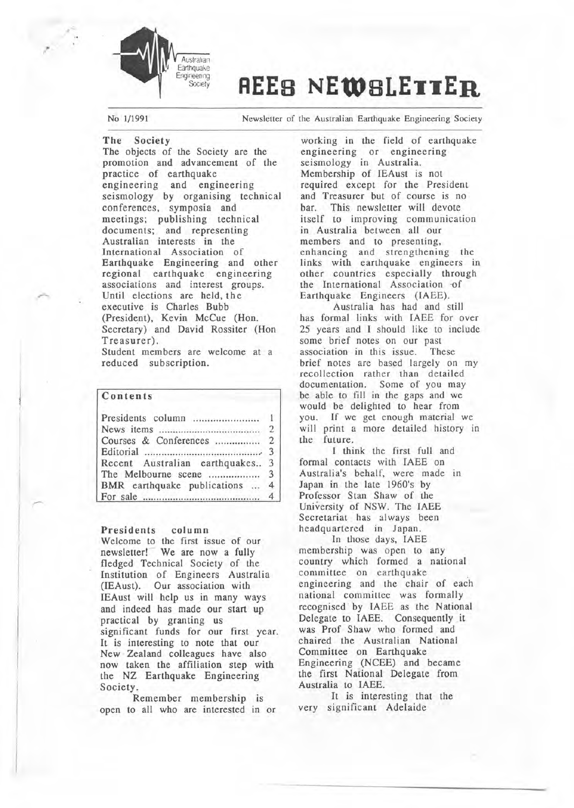

# **REEB NEWBLETTER**

No 1/1991 Newsletter of the Australian Earthquake Engineering Society

The Society The objects of the Society are the promotion and advancement of the practice of earthquake engineering and engineering seismology by organising technical conferences, symposia and meetings; publishing technical documents; and representing Australian interests in the International Association of Earthquake Engineering and other regional earthquake engineering associations and interest groups. Until elections are held, the executive is Charles Bubb (President), Kevin McCue (Hon. Secretary) and David Rossiter (Hon Treasurer).

Student members are welcome at a reduced subscription.

## Contents

| Recent Australian earthquakes 3 |  |
|---------------------------------|--|
|                                 |  |
| BMR earthquake publications  4  |  |
|                                 |  |

## Presidents column

Welcome to the first issue of our newsletter! We are now a fully fledged Technical Society of the Institution of Engineers Australia (IEAust). Our association with IEAust will help us in many ways and indeed has made our start up practical by granting us significant funds for our first year. It is interesting to note that our New Zealand colleagues have also now taken the affiliation step with the NZ Earthquake Engineering Society.

Remember membership is open to all who are interested in or

working in the field of earthquake engineering or engineering seismology in Australia. Membership of IEAust is not required except for the President and Treasurer but of course is no bar. This newsletter will devote itself to improving communication in Australia between all our members and to presenting, enhancing and strengthening the links with earthquake engineers in other countries especially through the International Association of Earthquake Engineers (IAEE).

Australia has had and still has formal links with IAEE for over 25 years and I should like to include some brief notes on our past<br>association in this issue. These association in this issue. brief notes are based largely on my recollection rather than detailed documentation. Some of you may be able to fill in the gaps and we would be delighted to hear from you. If we get enough material we will print a more detailed history in the future.

I think the first full and formal contacts with IAEE on Australia's behalf, were made in Japan in the late 1960's by Professor Stan Shaw of the University of NSW. The IAEE Secretariat has always been headquartered in Japan.

In those days, IAEE membership was open to any country which formed a national committee on earthquake engineering and the chair of each national committee was formally recognised by IAEE as the National Delegate to IAEE. Consequently it was Prof Shaw who formed and chaired the Australian National Committee on Earthquake Engineering (NCEE) and became the first National Delegate from Australia to IAEE.

It is interesting that the very significant Adelaide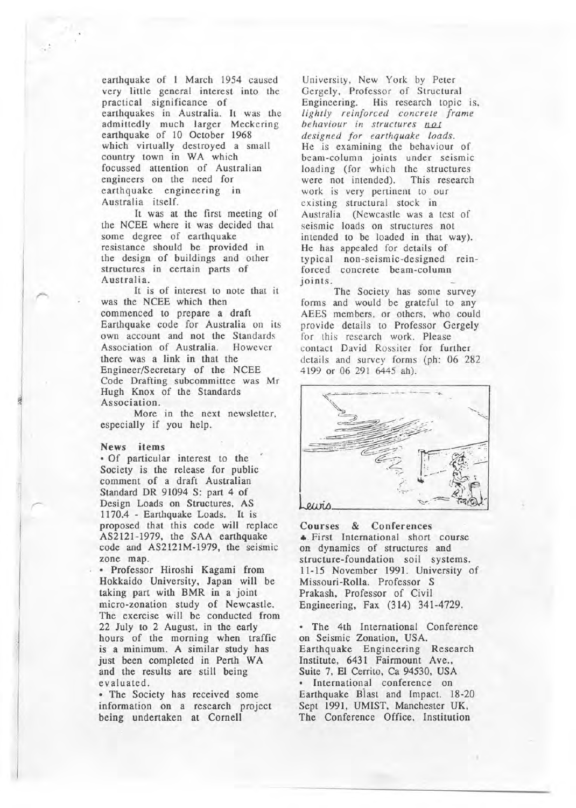earthquake of I March 1954 caused very little general interest into the practical significance of earthquakes in Australia. It was the admittedly much larger Meckering earthquake of 10 October 1968 which virtually destroyed a small country town in WA which focussed attention of Australian engineers on the need for earthquake engineering in Australia itself.

It was at the first meeting of the NCEE where it was decided that some degree of earthquake resistance should be provided in the design of buildings and other structures in certain parts of Australia.

It is of interest to note that it was the NCEE which then commenced to prepare a draft Earthquake code for Australia on its own account and not the Standards Association of Australia. However there was a link in that the Engineer/Secretary of the NCEE Code Drafting subcommittee was Mr Hugh Knox of the Standards Association.

More in the next newsletter, especially if you help.

#### News items

ja.

• '

• Of particular interest to the Society is the release for public comment of a draft Australian Standard DR 91094 S: part 4 of Design Loads on Structures, AS 1170.4 - Earthquake Loads. It is proposed that this code will replace AS2121-1979, the SAA earthquake code and AS2121M-1979, the seismic zone map.

• Professor Hiroshi Kagami from Hokkaido University, Japan will be taking part with BMR in a joint micro-zonation study of Newcastle. The exercise will be conducted from 22 July to 2 August, in the early hours of the morning when traffic is a minimum. A similar study has just been completed in Perth WA and the results are still being evaluated.

• The Society has received some information on a research project being undertaken at Cornell

University, New York by Peter Gergely, Professor of Structural<br>Engineering. His research topic His research topic is, *lightly reinforced concrete frame behaviour in structures not designed for earthquake loads.*  He is examining the behaviour of beam-column joints under seismic loading (for which the structures were not intended). This research work is very pertinent to our existing structural stock in Australia (Newcastle was a test of seismic loads on structures not intended to be loaded in that way). He has appealed for details of typical non-seismic-designed reinforced concrete beam-column joints.

The Society has some survey forms and would be grateful to any AEES members, or others, who could provide details to Professor Gergely for this research work. Please contact David Rossiter for further details and survey forms (ph: 06 282 4199 or 06 291 6445 ah).



Courses & Conferences • First International short course on dynamics of structures and structure-foundation soil systems. 11-15 November 1991. University of Missouri-Rolla. Professor S Prakash, Professor of Civil Engineering, Fax (314) 341-4729.

• The 4th International Conference on Seismic Zonation, USA. Earthquake Engineering Research Institute, 6431 Fairmount Ave., Suite 7, El Cerrito, Ca 94530, USA International conference on Earthquake Biast and Impact. 18-20 Sept 1991, UMIST, Manchester UK, The Conference Office, Institution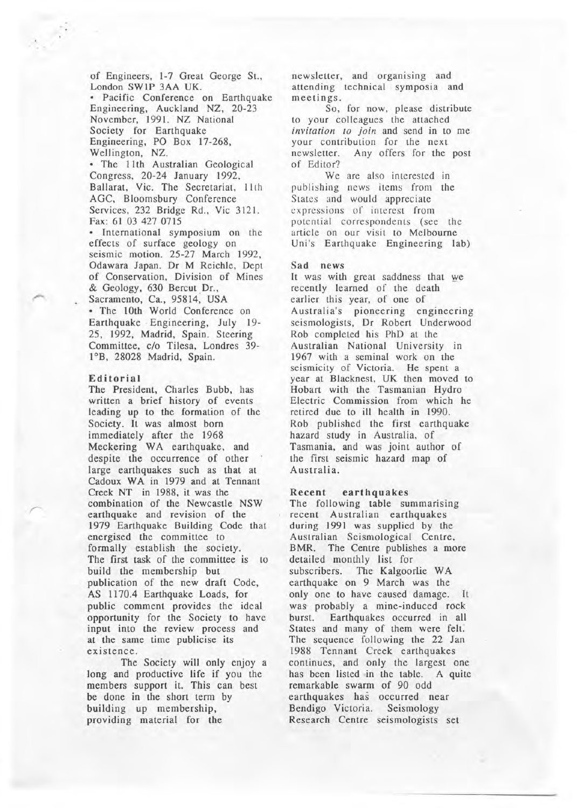of Engineers, 1-7 Great George St., London SWlP 3AA UK. • Pacific Conference on Earthquake Engineering, Auckland NZ, 20-23 November, 1991. NZ National Society for Earthquake Engineering, PO Box 17-268, Wellington, NZ. • The 11th Australian Geological

Congress, 20-24 January 1992. Ballarat, Vic: The Secretariat, lith AGC, Bloomsbury Conference Services, 232 Bridge Rd., Vic 3121. Fax: 61 03 427 0715

• International symposium on the effects of surface geology on seismic motion. 25-27 March 1992, Odawara Japan. Dr M Reichle, Dept of Conservation, Division of Mines & Geology, 630 Bercut Dr., Sacramento, Ca., 95814, USA • The lOth World Conference on Earthquake · Engineering, July 19- 25, 1992, Madrid, Spain. Steering Committee, c/o Tilesa, Londres 39- 1°B, 28028 Madrid, Spain.

#### Editorial

The President, Charles Bubb, has written a brief history of events leading up to the formation of the Society. It was almost born immediately after the 1968 Meckering WA earthquake, and despite the occurrence of other large earthquakes such as that at Cadoux WA in 1979 and at Tennant Creek NT in 1988, it was the combination of the Newcastle NSW earthquake and revision of the 1979 Earthquake Building Code that energised the committee to formally establish the society. The first task of the committee is to build the membership but publication of the new draft Code, AS 1170.4 Earthquake Loads, for public comment provides the ideal opportunity for the Society to have input into the review process and at the same time publicise its existence.

The Society will only enjoy a long and productive life if you the members support it. This can best be done in the short term by building up membership, providing material for the

newsletter, and organising and attending technical symposia and meetings.

So, for now, please distribute to your colleagues the attached *invitation to join* and send in to me your contribution for the next newsletter. Any offers for the post of Editor?

We are also interested in publishing news items from the States and would appreciate expressions of interest from potential correspondents (see the article on our visit to Melbourne Uni's Earthquake Engineering lab)

#### Sad news

It was with great saddness that we recently learned of the death earlier this year, of one of Australia's pioneering engineering seismologists, Dr Robert Underwood Rob completed his PhD at the Australian National University in 1967 with a seminal work on the seismicity of Victoria. He spent a year at Blacknest, UK then moved to Hobart with the Tasmanian Hydro Electric Commission from which he retired due to ill health in 1990. Rob published the first earthquake hazard study in Australia, of Tasmania, and was joint author of the first seismic hazard map of Australia.

#### Recent earthquakes

The following table summarising recent Australian earthquakes during 1991 was supplied by the Australian Seismological Centre, BMR. The Centre publishes a more detailed monthly list for subscribers. The Kalgoorlie WA earthquake on 9 March was the only one to have caused damage. It was probably a mine-induced rock burst. Earthquakes occurred in all States and many of them were felt. The sequence following the 22 Jan 1988 Tennant Creek earthquakes continues, and only the largest one has been listed in the table. A quite remarkable swarm of 90 odd earthquakes has occurred near Bendigo Victoria. Seismology Research Centre seismologists set